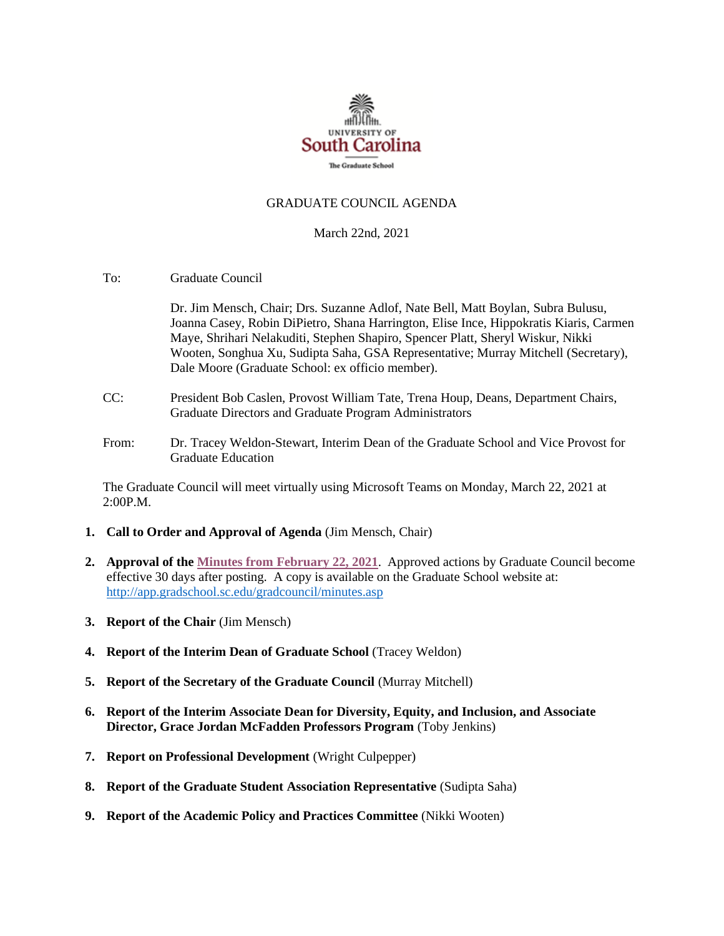

#### GRADUATE COUNCIL AGENDA

#### March 22nd, 2021

To: Graduate Council

Dr. Jim Mensch, Chair; Drs. Suzanne Adlof, Nate Bell, Matt Boylan, Subra Bulusu, Joanna Casey, Robin DiPietro, Shana Harrington, Elise Ince, Hippokratis Kiaris, Carmen Maye, Shrihari Nelakuditi, Stephen Shapiro, Spencer Platt, Sheryl Wiskur, Nikki Wooten, Songhua Xu, Sudipta Saha, GSA Representative; Murray Mitchell (Secretary), Dale Moore (Graduate School: ex officio member).

- CC: President Bob Caslen, Provost William Tate, Trena Houp, Deans, Department Chairs, Graduate Directors and Graduate Program Administrators
- From: Dr. Tracey Weldon-Stewart, Interim Dean of the Graduate School and Vice Provost for Graduate Education

The Graduate Council will meet virtually using Microsoft Teams on Monday, March 22, 2021 at 2:00P.M.

- **1. Call to Order and Approval of Agenda** (Jim Mensch, Chair)
- **2. Approval of the Minutes from February 22, 2021**. Approved actions by Graduate Council become effective 30 days after posting. A copy is available on the Graduate School website at: <http://app.gradschool.sc.edu/gradcouncil/minutes.asp>
- **3. Report of the Chair** (Jim Mensch)
- **4. Report of the Interim Dean of Graduate School (Tracey Weldon)**
- **5. Report of the Secretary of the Graduate Council (Murray Mitchell)**
- **6. Report of the Interim Associate Dean for Diversity, Equity, and Inclusion, and Associate Director, Grace Jordan McFadden Professors Program** (Toby Jenkins)
- **7. Report on Professional Development** (Wright Culpepper)
- **8. Report of the Graduate Student Association Representative (Sudipta Saha)**
- **9. Report of the Academic Policy and Practices Committee** (Nikki Wooten)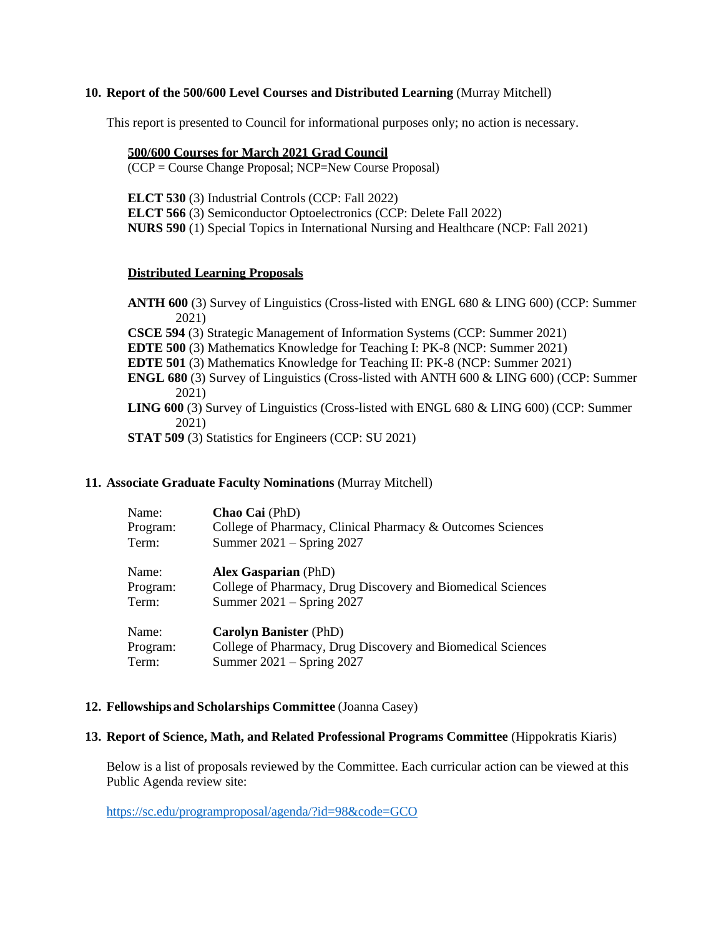#### **10. Report of the 500/600 Level Courses and Distributed Learning** (Murray Mitchell)

This report is presented to Council for informational purposes only; no action is necessary.

#### **500/600 Courses for March 2021 Grad Council**

(CCP = Course Change Proposal; NCP=New Course Proposal)

 **ELCT 566** (3) Semiconductor Optoelectronics (CCP: Delete Fall 2022) **ELCT 530** (3) Industrial Controls (CCP: Fall 2022) **NURS 590** (1) Special Topics in International Nursing and Healthcare (NCP: Fall 2021)

#### **Distributed Learning Proposals**

**ANTH 600** (3) Survey of Linguistics (Cross-listed with ENGL 680 & LING 600) (CCP: Summer 2021) **CSCE 594** (3) Strategic Management of Information Systems (CCP: Summer 2021) **EDTE 500** (3) Mathematics Knowledge for Teaching I: PK-8 (NCP: Summer 2021) **EDTE 501** (3) Mathematics Knowledge for Teaching II: PK-8 (NCP: Summer 2021) **ENGL 680** (3) Survey of Linguistics (Cross-listed with ANTH 600 & LING 600) (CCP: Summer 2021) **LING 600** (3) Survey of Linguistics (Cross-listed with ENGL 680 & LING 600) (CCP: Summer 2021) **STAT 509** (3) Statistics for Engineers (CCP: SU 2021)

### **11. Associate Graduate Faculty Nominations** (Murray Mitchell)

| Name:    | Chao Cai (PhD)                                              |
|----------|-------------------------------------------------------------|
| Program: | College of Pharmacy, Clinical Pharmacy & Outcomes Sciences  |
| Term:    | Summer $2021 -$ Spring 2027                                 |
| Name:    | <b>Alex Gasparian</b> (PhD)                                 |
| Program: | College of Pharmacy, Drug Discovery and Biomedical Sciences |
| Term:    | Summer $2021 -$ Spring 2027                                 |
| Name:    | <b>Carolyn Banister (PhD)</b>                               |
| Program: | College of Pharmacy, Drug Discovery and Biomedical Sciences |
| Term:    | Summer 2021 – Spring 2027                                   |

#### **12. Fellowships and Scholarships Committee** (Joanna Casey)

#### **13. Report of Science, Math, and Related Professional Programs Committee** (Hippokratis Kiaris)

Below is a list of proposals reviewed by the Committee. Each curricular action can be viewed at this Public Agenda review site:

<https://sc.edu/programproposal/agenda/?id=98&code=GCO>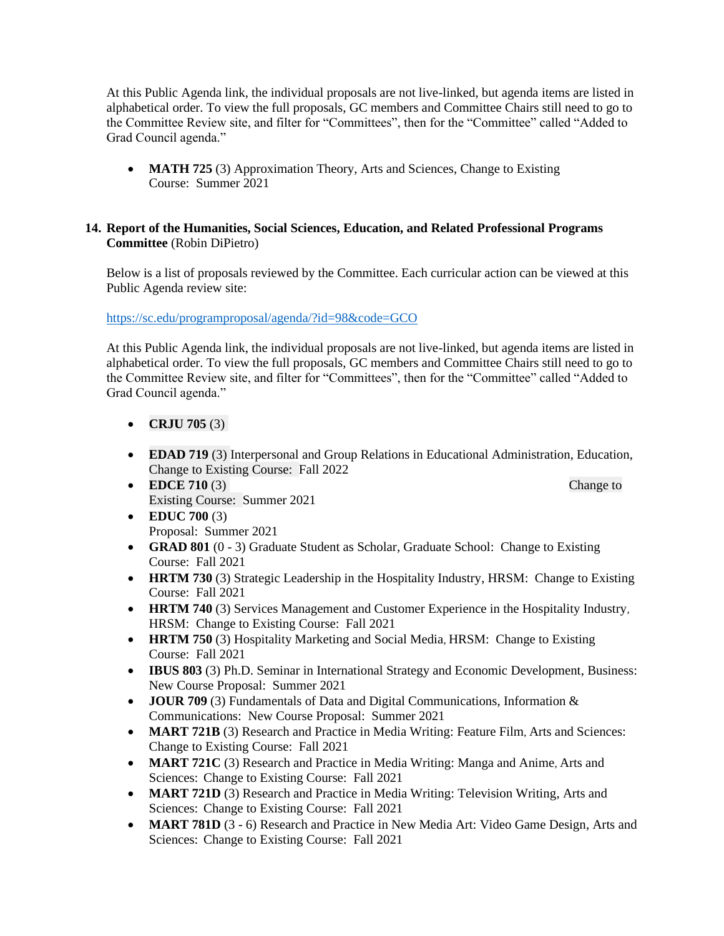At this Public Agenda link, the individual proposals are not live-linked, but agenda items are listed in alphabetical order. To view the full proposals, GC members and Committee Chairs still need to go to the Committee Review site, and filter for "Committees", then for the "Committee" called "Added to Grad Council agenda."

• **MATH 725** (3) Approximation Theory, Arts and Sciences, Change to Existing Course: Summer 2021

#### **14. Report of the Humanities, Social Sciences, Education, and Related Professional Programs Committee** (Robin DiPietro)

Below is a list of proposals reviewed by the Committee. Each curricular action can be viewed at this Public Agenda review site:

<https://sc.edu/programproposal/agenda/?id=98&code=GCO>

At this Public Agenda link, the individual proposals are not live-linked, but agenda items are listed in alphabetical order. To view the full proposals, GC members and Committee Chairs still need to go to the Committee Review site, and filter for "Committees", then for the "Committee" called "Added to Grad Council agenda."

- **CRJU 705**  $(3)$
- **EDAD 719** (3) Interpersonal and Group Relations in Educational Administration, Education, Change to Existing Course: Fall 2022 Fall 2022
- Existing Course: Summer 2021 • **EDCE 710** (3) **Professional, Legal and Ethical Issues in Change to Change to Change to Change to Change to Change to Change to Change to Change to Change to Change to Change to Change to Change to Change to Change to Ch**
- **EDUC 700 (3)** Proposal: Summer 2021
- **GRAD 801** (0 3) Graduate Student as Scholar, Graduate School: Change to Existing Course: Fall 2021
- **HRTM 730** (3) Strategic Leadership in the Hospitality Industry, HRSM: Change to Existing Course: Fall 2021
- **HRTM 740** (3) Services Management and Customer Experience in the Hospitality Industry, HRSM: Change to Existing Course: Fall 2021
- **HRTM 750** (3) Hospitality Marketing and Social Media, HRSM: Change to Existing Course: Fall 2021
- **IBUS 803** (3) Ph.D. Seminar in International Strategy and Economic Development, Business:<br>New Course Proposal: Summer 2021<br> **JOUR 709** (3) Fundamentals of Data and Digital Communications, Information &<br>Communications: New Course Proposal: Summer 2021
- **JOUR 709** (3) Fundamentals of Data and Digital Communications, Information & Communications: New Course Proposal: Summer 2021
- **MART 721B** (3) Research and Practice in Media Writing: Feature Film, Arts and Sciences: Change to Existing Course: Fall 2021
- **MART 721C** (3) Research and Practice in Media Writing: Manga and Anime, Arts and Sciences: Change to Existing Course: Fall 2021 21B (3) Research and Practice in Media Writing: Feature Film, Arts and Sciences:<br>
21C (3) Research and Practice in Media Writing: Manga and Anime, Arts and<br>
Change to Existing Course: Fall 2021
- **MART 721D** (3) Research and Practice in Media Writing: Television Writing, Arts and Sciences: Change to Existing Course: Fall 2021
- **MART 781D** (3 6) Research and Practice in New Media Art: Video Game Design, Arts and Sciences: Change to Existing Course: Fall 2021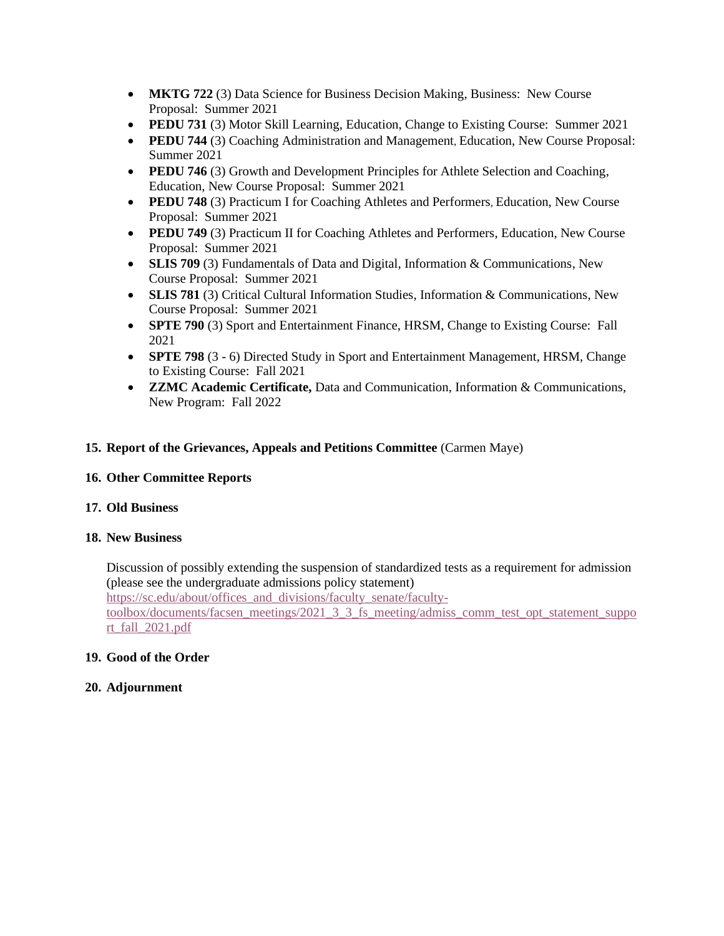- **MKTG 722** (3) Data Science for Business Decision Making, Business: New Course Proposal: Summer 2021
- **PEDU 731** (3) Motor Skill Learning, Education, Change to Existing Course: Summer 2021
- **PEDU 744** (3) Coaching Administration and Management, Education, New Course Proposal: Summer 2021
- **PEDU 746** (3) Growth and Development Principles for Athlete Selection and Coaching, Education, New Course Proposal: Summer 2021
- **PEDU 748** (3) Practicum I for Coaching Athletes and Performers, Education, New Course Proposal: Summer 2021
- **PEDU 749** (3) Practicum II for Coaching Athletes and Performers, Education, New Course Proposal: Summer 2021
- **SLIS 709** (3) Fundamentals of Data and Digital, Information & Communications, New Course Proposal: Summer 2021
- **SLIS 781** (3) Critical Cultural Information Studies, Information & Communications, New Course Proposal: Summer 2021
- **SPTE 790** (3) Sport and Entertainment Finance, HRSM, Change to Existing Course: Fall 2021
- **SPTE 798** (3 6) Directed Study in Sport and Entertainment Management, HRSM, Change to Existing Course: Fall 2021
- **ZZMC Academic Certificate,** Data and Communication, Information & Communications, New Program: Fall 2022

#### **15. Report of the Grievances, Appeals and Petitions Committee** (Carmen Maye)

#### **16. Other Committee Reports**

#### **17. Old Business**

#### **18. New Business**

Discussion of possibly extending the suspension of standardized tests as a requirement for admission (please see the undergraduate admissions policy statement) [https://sc.edu/about/offices\\_and\\_divisions/faculty\\_senate/faculty](https://sc.edu/about/offices_and_divisions/faculty_senate/faculty)toolbox/documents/facsen\_meetings/2021\_3\_3\_fs\_meeting/admiss\_comm\_test\_opt\_statement\_suppo rt\_fall\_2021.pdf

#### **19. Good of the Order**

#### **20. Adjournment**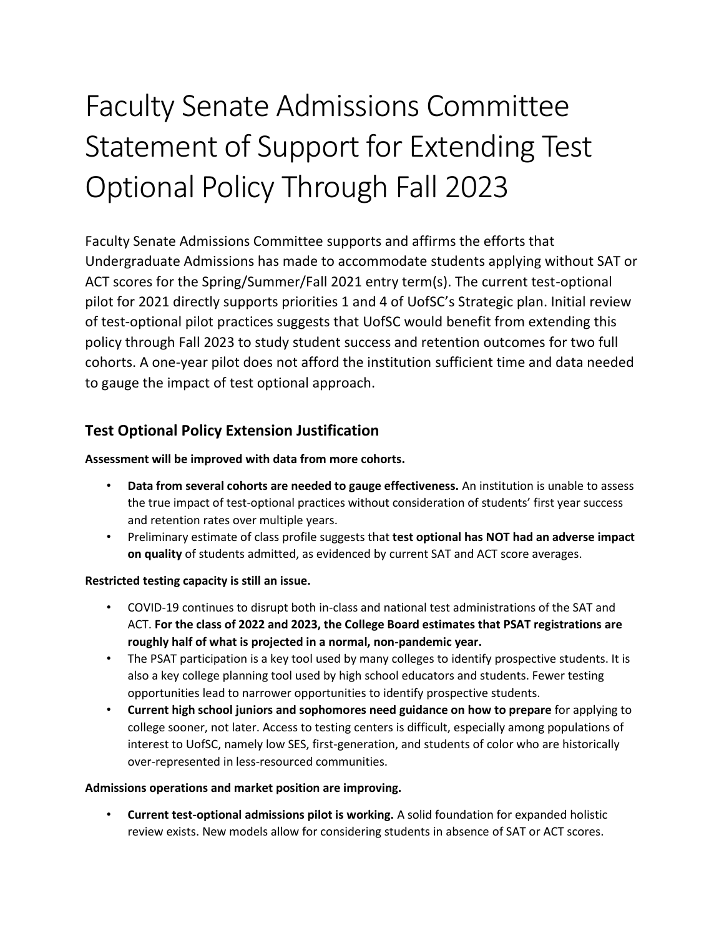# Faculty Senate Admissions Committee Statement of Support for Extending Test Optional Policy Through Fall 2023

 Faculty Senate Admissions Committee supports and affirms the efforts that Undergraduate Admissions has made to accommodate students applying without SAT or ACT scores for the Spring/Summer/Fall 2021 entry term(s). The current test-optional pilot for 2021 directly supports priorities 1 and 4 of UofSC's Strategic plan. Initial review of test-optional pilot practices suggests that UofSC would benefit from extending this cohorts. A one-year pilot does not afford the institution sufficient time and data needed to gauge the impact of test optional approach. policy through Fall 2023 to study student success and retention outcomes for two full

## **Test Optional Policy Extension Justification**

#### **Assessment will be improved with data from more cohorts.**

- **Data from several cohorts are needed to gauge effectiveness.** An institution is unable to assess the true impact of test-optional practices without consideration of students' first year success and retention rates over multiple years.
- Preliminary estimate of class profile suggests that **test optional has NOT had an adverse impact on quality** of students admitted, as evidenced by current SAT and ACT score averages.

#### **Restricted testing capacity is still an issue.**

- • COVID-19 continues to disrupt both in-class and national test administrations of the SAT and  **roughly half of what is projected in a normal, non-pandemic year.**  ACT. **For the class of 2022 and 2023, the College Board estimates that PSAT registrations are**
- The PSAT participation is a key tool used by many colleges to identify prospective students. It is also a key college planning tool used by high school educators and students. Fewer testing opportunities lead to narrower opportunities to identify prospective students.
- **Current high school juniors and sophomores need guidance on how to prepare** for applying to college sooner, not later. Access to testing centers is difficult, especially among populations of interest to UofSC, namely low SES, first-generation, and students of color who are historically over-represented in less-resourced communities.

#### **Admissions operations and market position are improving.**

• **Current test-optional admissions pilot is working.** A solid foundation for expanded holistic review exists. New models allow for considering students in absence of SAT or ACT scores.